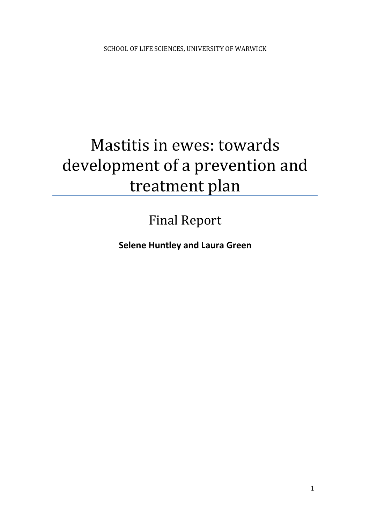# Mastitis in ewes: towards development of a prevention and treatment plan

# Final Report

**Selene Huntley and Laura Green**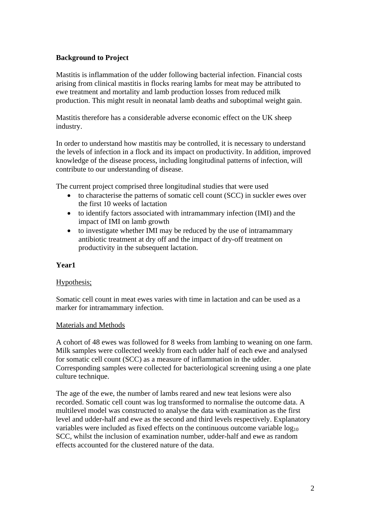### **Background to Project**

Mastitis is inflammation of the udder following bacterial infection. Financial costs arising from clinical mastitis in flocks rearing lambs for meat may be attributed to ewe treatment and mortality and lamb production losses from reduced milk production. This might result in neonatal lamb deaths and suboptimal weight gain.

Mastitis therefore has a considerable adverse economic effect on the UK sheep industry.

In order to understand how mastitis may be controlled, it is necessary to understand the levels of infection in a flock and its impact on productivity. In addition, improved knowledge of the disease process, including longitudinal patterns of infection, will contribute to our understanding of disease.

The current project comprised three longitudinal studies that were used

- to characterise the patterns of somatic cell count (SCC) in suckler ewes over the first 10 weeks of lactation
- to identify factors associated with intramammary infection (IMI) and the impact of IMI on lamb growth
- to investigate whether IMI may be reduced by the use of intramammary antibiotic treatment at dry off and the impact of dry-off treatment on productivity in the subsequent lactation.

#### **Year1**

# Hypothesis;

Somatic cell count in meat ewes varies with time in lactation and can be used as a marker for intramammary infection.

#### Materials and Methods

A cohort of 48 ewes was followed for 8 weeks from lambing to weaning on one farm. Milk samples were collected weekly from each udder half of each ewe and analysed for somatic cell count (SCC) as a measure of inflammation in the udder. Corresponding samples were collected for bacteriological screening using a one plate culture technique.

The age of the ewe, the number of lambs reared and new teat lesions were also recorded. Somatic cell count was log transformed to normalise the outcome data. A multilevel model was constructed to analyse the data with examination as the first level and udder-half and ewe as the second and third levels respectively. Explanatory variables were included as fixed effects on the continuous outcome variable  $log_{10}$ SCC, whilst the inclusion of examination number, udder-half and ewe as random effects accounted for the clustered nature of the data.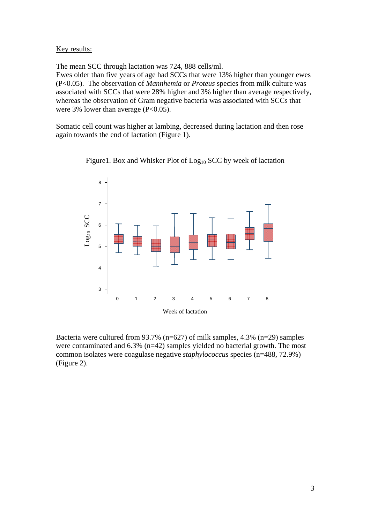#### Key results:

The mean SCC through lactation was 724, 888 cells/ml.

Ewes older than five years of age had SCCs that were 13% higher than younger ewes (P<0.05). The observation of *Mannhemia* or *Proteus* species from milk culture was associated with SCCs that were 28% higher and 3% higher than average respectively, whereas the observation of Gram negative bacteria was associated with SCCs that were 3% lower than average (P<0.05).

Somatic cell count was higher at lambing, decreased during lactation and then rose again towards the end of lactation (Figure 1).



Figure1. Box and Whisker Plot of  $Log<sub>10</sub> SCC$  by week of lactation

Bacteria were cultured from 93.7% (n=627) of milk samples, 4.3% (n=29) samples were contaminated and 6.3% (n=42) samples yielded no bacterial growth. The most common isolates were coagulase negative *staphylococcus* species (n=488, 72.9%) (Figure 2).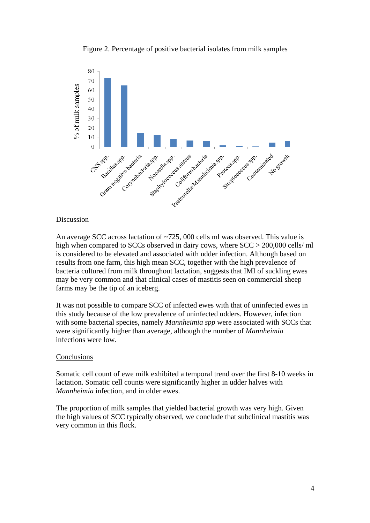Figure 2. Percentage of positive bacterial isolates from milk samples



#### Discussion

An average SCC across lactation of ~725, 000 cells ml was observed. This value is high when compared to SCCs observed in dairy cows, where SCC > 200,000 cells/ ml is considered to be elevated and associated with udder infection. Although based on results from one farm, this high mean SCC, together with the high prevalence of bacteria cultured from milk throughout lactation, suggests that IMI of suckling ewes may be very common and that clinical cases of mastitis seen on commercial sheep farms may be the tip of an iceberg.

It was not possible to compare SCC of infected ewes with that of uninfected ewes in this study because of the low prevalence of uninfected udders. However, infection with some bacterial species, namely *Mannheimia spp* were associated with SCCs that were significantly higher than average, although the number of *Mannheimia* infections were low.

#### Conclusions

Somatic cell count of ewe milk exhibited a temporal trend over the first 8-10 weeks in lactation. Somatic cell counts were significantly higher in udder halves with *Mannheimia* infection, and in older ewes.

The proportion of milk samples that yielded bacterial growth was very high. Given the high values of SCC typically observed, we conclude that subclinical mastitis was very common in this flock.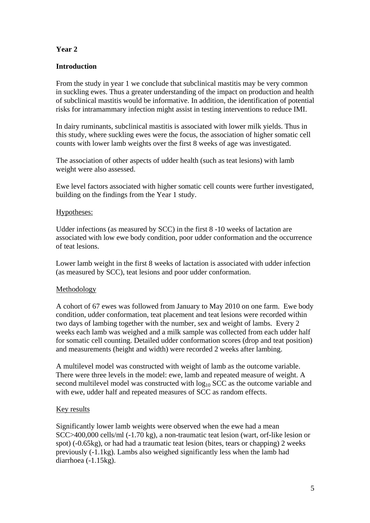# **Year 2**

# **Introduction**

From the study in year 1 we conclude that subclinical mastitis may be very common in suckling ewes. Thus a greater understanding of the impact on production and health of subclinical mastitis would be informative. In addition, the identification of potential risks for intramammary infection might assist in testing interventions to reduce IMI.

In dairy ruminants, subclinical mastitis is associated with lower milk yields. Thus in this study, where suckling ewes were the focus, the association of higher somatic cell counts with lower lamb weights over the first 8 weeks of age was investigated.

The association of other aspects of udder health (such as teat lesions) with lamb weight were also assessed.

Ewe level factors associated with higher somatic cell counts were further investigated, building on the findings from the Year 1 study.

#### Hypotheses:

Udder infections (as measured by SCC) in the first 8 -10 weeks of lactation are associated with low ewe body condition, poor udder conformation and the occurrence of teat lesions.

Lower lamb weight in the first 8 weeks of lactation is associated with udder infection (as measured by SCC), teat lesions and poor udder conformation.

#### Methodology

A cohort of 67 ewes was followed from January to May 2010 on one farm. Ewe body condition, udder conformation, teat placement and teat lesions were recorded within two days of lambing together with the number, sex and weight of lambs. Every 2 weeks each lamb was weighed and a milk sample was collected from each udder half for somatic cell counting. Detailed udder conformation scores (drop and teat position) and measurements (height and width) were recorded 2 weeks after lambing.

A multilevel model was constructed with weight of lamb as the outcome variable. There were three levels in the model: ewe, lamb and repeated measure of weight. A second multilevel model was constructed with  $log_{10}$  SCC as the outcome variable and with ewe, udder half and repeated measures of SCC as random effects.

# Key results

Significantly lower lamb weights were observed when the ewe had a mean SCC>400,000 cells/ml (-1.70 kg), a non-traumatic teat lesion (wart, orf-like lesion or spot) (-0.65kg), or had had a traumatic teat lesion (bites, tears or chapping) 2 weeks previously (-1.1kg). Lambs also weighed significantly less when the lamb had diarrhoea (-1.15kg).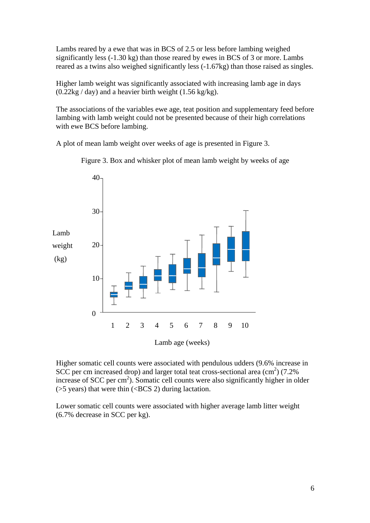Lambs reared by a ewe that was in BCS of 2.5 or less before lambing weighed significantly less (-1.30 kg) than those reared by ewes in BCS of 3 or more. Lambs reared as a twins also weighed significantly less (-1.67kg) than those raised as singles.

Higher lamb weight was significantly associated with increasing lamb age in days  $(0.22kg / day)$  and a heavier birth weight  $(1.56 kg/kg)$ .

The associations of the variables ewe age, teat position and supplementary feed before lambing with lamb weight could not be presented because of their high correlations with ewe BCS before lambing.

A plot of mean lamb weight over weeks of age is presented in Figure 3.



Figure 3. Box and whisker plot of mean lamb weight by weeks of age

Higher somatic cell counts were associated with pendulous udders (9.6% increase in SCC per cm increased drop) and larger total teat cross-sectional area  $\text{(cm}^2\text{)}$  (7.2%) increase of SCC per cm<sup>2</sup>). Somatic cell counts were also significantly higher in older  $($ >5 years) that were thin  $($  <BCS 2) during lactation.

Lower somatic cell counts were associated with higher average lamb litter weight (6.7% decrease in SCC per kg).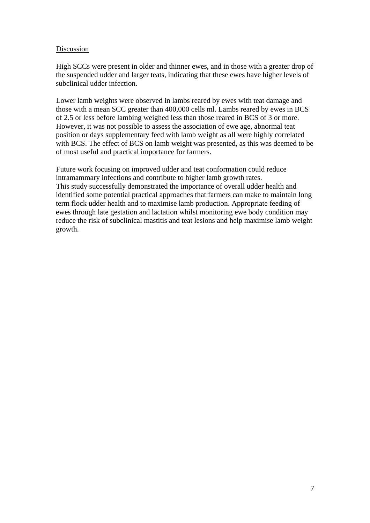#### Discussion

High SCCs were present in older and thinner ewes, and in those with a greater drop of the suspended udder and larger teats, indicating that these ewes have higher levels of subclinical udder infection.

Lower lamb weights were observed in lambs reared by ewes with teat damage and those with a mean SCC greater than 400,000 cells ml. Lambs reared by ewes in BCS of 2.5 or less before lambing weighed less than those reared in BCS of 3 or more. However, it was not possible to assess the association of ewe age, abnormal teat position or days supplementary feed with lamb weight as all were highly correlated with BCS. The effect of BCS on lamb weight was presented, as this was deemed to be of most useful and practical importance for farmers.

Future work focusing on improved udder and teat conformation could reduce intramammary infections and contribute to higher lamb growth rates. This study successfully demonstrated the importance of overall udder health and identified some potential practical approaches that farmers can make to maintain long term flock udder health and to maximise lamb production. Appropriate feeding of ewes through late gestation and lactation whilst monitoring ewe body condition may reduce the risk of subclinical mastitis and teat lesions and help maximise lamb weight growth.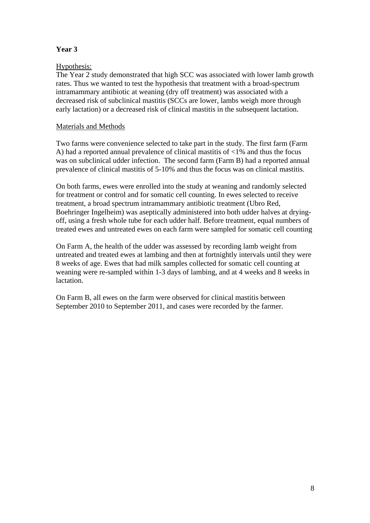# **Year 3**

# Hypothesis:

The Year 2 study demonstrated that high SCC was associated with lower lamb growth rates. Thus we wanted to test the hypothesis that treatment with a broad-spectrum intramammary antibiotic at weaning (dry off treatment) was associated with a decreased risk of subclinical mastitis (SCCs are lower, lambs weigh more through early lactation) or a decreased risk of clinical mastitis in the subsequent lactation.

# Materials and Methods

Two farms were convenience selected to take part in the study. The first farm (Farm A) had a reported annual prevalence of clinical mastitis of <1% and thus the focus was on subclinical udder infection. The second farm (Farm B) had a reported annual prevalence of clinical mastitis of 5-10% and thus the focus was on clinical mastitis.

On both farms, ewes were enrolled into the study at weaning and randomly selected for treatment or control and for somatic cell counting. In ewes selected to receive treatment, a broad spectrum intramammary antibiotic treatment (Ubro Red, Boehringer Ingelheim) was aseptically administered into both udder halves at dryingoff, using a fresh whole tube for each udder half. Before treatment, equal numbers of treated ewes and untreated ewes on each farm were sampled for somatic cell counting

On Farm A, the health of the udder was assessed by recording lamb weight from untreated and treated ewes at lambing and then at fortnightly intervals until they were 8 weeks of age. Ewes that had milk samples collected for somatic cell counting at weaning were re-sampled within 1-3 days of lambing, and at 4 weeks and 8 weeks in lactation.

On Farm B, all ewes on the farm were observed for clinical mastitis between September 2010 to September 2011, and cases were recorded by the farmer.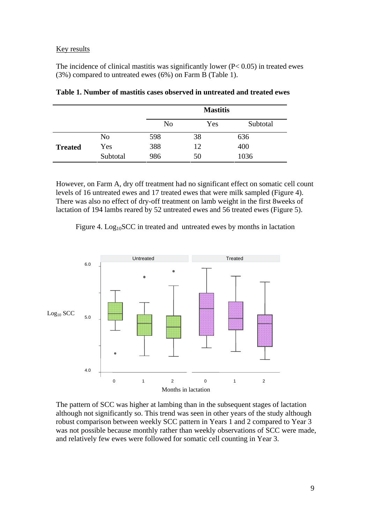#### Key results

The incidence of clinical mastitis was significantly lower  $(P< 0.05)$  in treated ewes (3%) compared to untreated ewes (6%) on Farm B (Table 1).

|                |          | <b>Mastitis</b> |     |          |
|----------------|----------|-----------------|-----|----------|
|                |          | N <sub>o</sub>  | Yes | Subtotal |
| <b>Treated</b> | No       | 598             | 38  | 636      |
|                | Yes      | 388             | 12  | 400      |
|                | Subtotal | 986             | 50  | 1036     |

|  |  |  | Table 1. Number of mastitis cases observed in untreated and treated ewes |
|--|--|--|--------------------------------------------------------------------------|
|--|--|--|--------------------------------------------------------------------------|

However, on Farm A, dry off treatment had no significant effect on somatic cell count levels of 16 untreated ewes and 17 treated ewes that were milk sampled (Figure 4). There was also no effect of dry-off treatment on lamb weight in the first 8weeks of lactation of 194 lambs reared by 52 untreated ewes and 56 treated ewes (Figure 5).

Figure 4.  $Log<sub>10</sub>SCC$  in treated and untreated ewes by months in lactation



The pattern of SCC was higher at lambing than in the subsequent stages of lactation although not significantly so. This trend was seen in other years of the study although robust comparison between weekly SCC pattern in Years 1 and 2 compared to Year 3 was not possible because monthly rather than weekly observations of SCC were made, and relatively few ewes were followed for somatic cell counting in Year 3.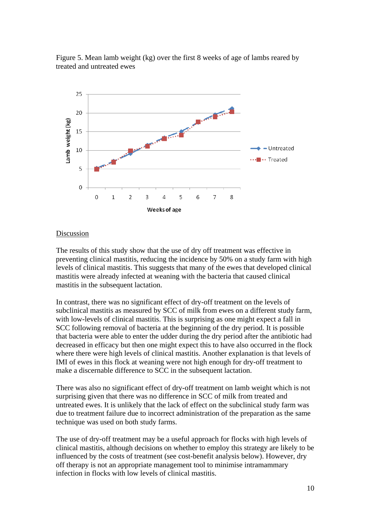

Figure 5. Mean lamb weight (kg) over the first 8 weeks of age of lambs reared by treated and untreated ewes

### **Discussion**

The results of this study show that the use of dry off treatment was effective in preventing clinical mastitis, reducing the incidence by 50% on a study farm with high levels of clinical mastitis. This suggests that many of the ewes that developed clinical mastitis were already infected at weaning with the bacteria that caused clinical mastitis in the subsequent lactation.

In contrast, there was no significant effect of dry-off treatment on the levels of subclinical mastitis as measured by SCC of milk from ewes on a different study farm, with low-levels of clinical mastitis. This is surprising as one might expect a fall in SCC following removal of bacteria at the beginning of the dry period. It is possible that bacteria were able to enter the udder during the dry period after the antibiotic had decreased in efficacy but then one might expect this to have also occurred in the flock where there were high levels of clinical mastitis. Another explanation is that levels of IMI of ewes in this flock at weaning were not high enough for dry-off treatment to make a discernable difference to SCC in the subsequent lactation.

There was also no significant effect of dry-off treatment on lamb weight which is not surprising given that there was no difference in SCC of milk from treated and untreated ewes. It is unlikely that the lack of effect on the subclinical study farm was due to treatment failure due to incorrect administration of the preparation as the same technique was used on both study farms.

The use of dry-off treatment may be a useful approach for flocks with high levels of clinical mastitis, although decisions on whether to employ this strategy are likely to be influenced by the costs of treatment (see cost-benefit analysis below). However, dry off therapy is not an appropriate management tool to minimise intramammary infection in flocks with low levels of clinical mastitis.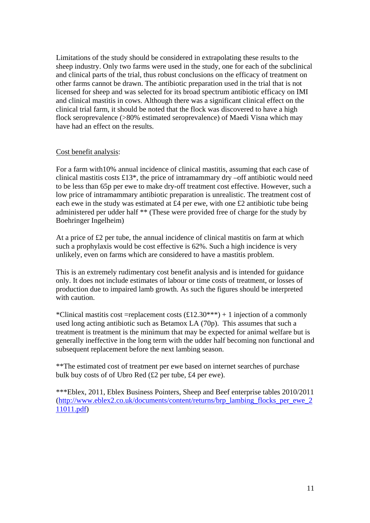Limitations of the study should be considered in extrapolating these results to the sheep industry. Only two farms were used in the study, one for each of the subclinical and clinical parts of the trial, thus robust conclusions on the efficacy of treatment on other farms cannot be drawn. The antibiotic preparation used in the trial that is not licensed for sheep and was selected for its broad spectrum antibiotic efficacy on IMI and clinical mastitis in cows. Although there was a significant clinical effect on the clinical trial farm, it should be noted that the flock was discovered to have a high flock seroprevalence (>80% estimated seroprevalence) of Maedi Visna which may have had an effect on the results.

#### Cost benefit analysis:

For a farm with10% annual incidence of clinical mastitis, assuming that each case of clinical mastitis costs £13\*, the price of intramammary dry –off antibiotic would need to be less than 65p per ewe to make dry-off treatment cost effective. However, such a low price of intramammary antibiotic preparation is unrealistic. The treatment cost of each ewe in the study was estimated at £4 per ewe, with one £2 antibiotic tube being administered per udder half \*\* (These were provided free of charge for the study by Boehringer Ingelheim)

At a price of £2 per tube, the annual incidence of clinical mastitis on farm at which such a prophylaxis would be cost effective is 62%. Such a high incidence is very unlikely, even on farms which are considered to have a mastitis problem.

This is an extremely rudimentary cost benefit analysis and is intended for guidance only. It does not include estimates of labour or time costs of treatment, or losses of production due to impaired lamb growth. As such the figures should be interpreted with caution.

\*Clinical mastitis cost =replacement costs  $(\text{\textsterling}12.30^{***}) + 1$  injection of a commonly used long acting antibiotic such as Betamox LA (70p). This assumes that such a treatment is treatment is the minimum that may be expected for animal welfare but is generally ineffective in the long term with the udder half becoming non functional and subsequent replacement before the next lambing season.

\*\*The estimated cost of treatment per ewe based on internet searches of purchase bulk buy costs of of Ubro Red (£2 per tube, £4 per ewe).

\*\*\*Eblex, 2011, Eblex Business Pointers, Sheep and Beef enterprise tables 2010/2011 (http://www.eblex2.co.uk/documents/content/returns/brp\_lambing\_flocks\_per\_ewe\_2 11011.pdf)